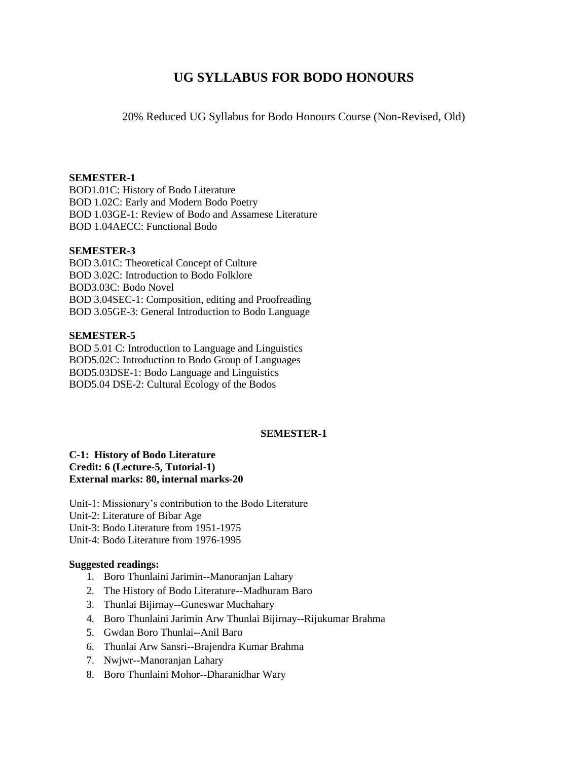# **UG SYLLABUS FOR BODO HONOURS**

20% Reduced UG Syllabus for Bodo Honours Course (Non-Revised, Old)

#### **SEMESTER-1**

BOD1.01C: History of Bodo Literature BOD 1.02C: Early and Modern Bodo Poetry BOD 1.03GE-1: Review of Bodo and Assamese Literature BOD 1.04AECC: Functional Bodo

#### **SEMESTER-3**

BOD 3.01C: Theoretical Concept of Culture BOD 3.02C: Introduction to Bodo Folklore BOD3.03C: Bodo Novel BOD 3.04SEC-1: Composition, editing and Proofreading BOD 3.05GE-3: General Introduction to Bodo Language

#### **SEMESTER-5**

BOD 5.01 C: Introduction to Language and Linguistics BOD5.02C: Introduction to Bodo Group of Languages BOD5.03DSE-1: Bodo Language and Linguistics BOD5.04 DSE-2: Cultural Ecology of the Bodos

### **SEMESTER-1**

#### **C-1: History of Bodo Literature Credit: 6 (Lecture-5, Tutorial-1) External marks: 80, internal marks-20**

Unit-1: Missionary's contribution to the Bodo Literature Unit-2: Literature of Bibar Age Unit-3: Bodo Literature from 1951-1975 Unit-4: Bodo Literature from 1976-1995

#### **Suggested readings:**

- 1. Boro Thunlaini Jarimin--Manoranjan Lahary
- 2. The History of Bodo Literature--Madhuram Baro
- 3. Thunlai Bijirnay--Guneswar Muchahary
- 4. Boro Thunlaini Jarimin Arw Thunlai Bijirnay--Rijukumar Brahma
- 5. Gwdan Boro Thunlai--Anil Baro
- 6. Thunlai Arw Sansri--Brajendra Kumar Brahma
- 7. Nwjwr--Manoranjan Lahary
- 8. Boro Thunlaini Mohor--Dharanidhar Wary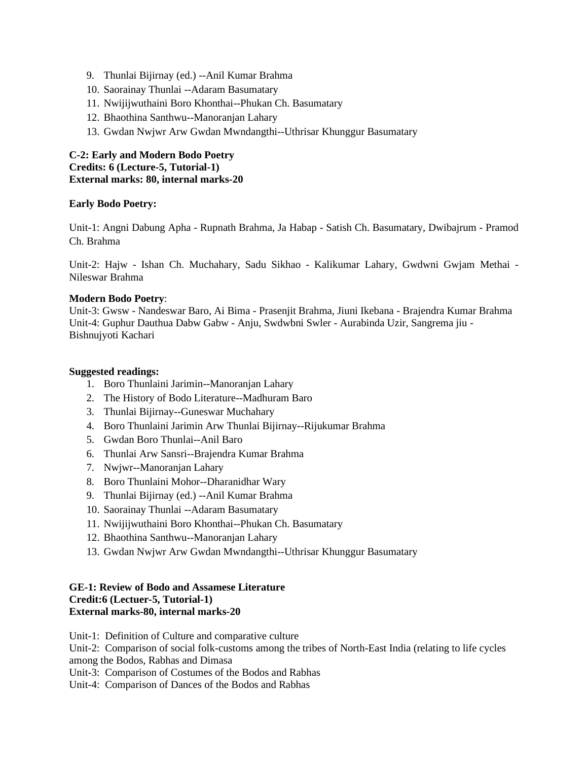- 9. Thunlai Bijirnay (ed.) --Anil Kumar Brahma
- 10. Saorainay Thunlai --Adaram Basumatary
- 11. Nwijijwuthaini Boro Khonthai--Phukan Ch. Basumatary
- 12. Bhaothina Santhwu--Manoranjan Lahary
- 13. Gwdan Nwjwr Arw Gwdan Mwndangthi--Uthrisar Khunggur Basumatary

# **C-2: Early and Modern Bodo Poetry Credits: 6 (Lecture-5, Tutorial-1) External marks: 80, internal marks-20**

# **Early Bodo Poetry:**

Unit-1: Angni Dabung Apha - Rupnath Brahma, Ja Habap - Satish Ch. Basumatary, Dwibajrum - Pramod Ch. Brahma

Unit-2: Hajw - Ishan Ch. Muchahary, Sadu Sikhao - Kalikumar Lahary, Gwdwni Gwjam Methai - Nileswar Brahma

### **Modern Bodo Poetry**:

Unit-3: Gwsw - Nandeswar Baro, Ai Bima - Prasenjit Brahma, Jiuni Ikebana - Brajendra Kumar Brahma Unit-4: Guphur Dauthua Dabw Gabw - Anju, Swdwbni Swler - Aurabinda Uzir, Sangrema jiu - Bishnujyoti Kachari

### **Suggested readings:**

- 1. Boro Thunlaini Jarimin--Manoranjan Lahary
- 2. The History of Bodo Literature--Madhuram Baro
- 3. Thunlai Bijirnay--Guneswar Muchahary
- 4. Boro Thunlaini Jarimin Arw Thunlai Bijirnay--Rijukumar Brahma
- 5. Gwdan Boro Thunlai--Anil Baro
- 6. Thunlai Arw Sansri--Brajendra Kumar Brahma
- 7. Nwjwr--Manoranjan Lahary
- 8. Boro Thunlaini Mohor--Dharanidhar Wary
- 9. Thunlai Bijirnay (ed.) --Anil Kumar Brahma
- 10. Saorainay Thunlai --Adaram Basumatary
- 11. Nwijijwuthaini Boro Khonthai--Phukan Ch. Basumatary
- 12. Bhaothina Santhwu--Manoranjan Lahary
- 13. Gwdan Nwjwr Arw Gwdan Mwndangthi--Uthrisar Khunggur Basumatary

## **GE-1: Review of Bodo and Assamese Literature Credit:6 (Lectuer-5, Tutorial-1) External marks-80, internal marks-20**

Unit-1: Definition of Culture and comparative culture

Unit-2: Comparison of social folk-customs among the tribes of North-East India (relating to life cycles among the Bodos, Rabhas and Dimasa

Unit-3: Comparison of Costumes of the Bodos and Rabhas

Unit-4: Comparison of Dances of the Bodos and Rabhas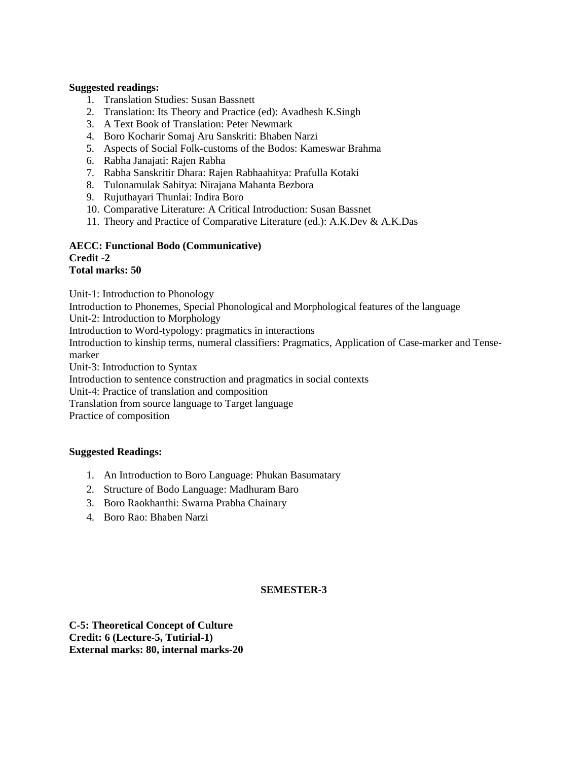## **Suggested readings:**

- 1. Translation Studies: Susan Bassnett
- 2. Translation: Its Theory and Practice (ed): Avadhesh K.Singh
- 3. A Text Book of Translation: Peter Newmark
- 4. Boro Kocharir Somaj Aru Sanskriti: Bhaben Narzi
- 5. Aspects of Social Folk-customs of the Bodos: Kameswar Brahma
- 6. Rabha Janajati: Rajen Rabha
- 7. Rabha Sanskritir Dhara: Rajen Rabhaahitya: Prafulla Kotaki
- 8. Tulonamulak Sahitya: Nirajana Mahanta Bezbora
- 9. Rujuthayari Thunlai: Indira Boro
- 10. Comparative Literature: A Critical Introduction: Susan Bassnet
- 11. Theory and Practice of Comparative Literature (ed.): A.K.Dev & A.K.Das

#### **AECC: Functional Bodo (Communicative) Credit -2 Total marks: 50**

Unit-1: Introduction to Phonology

Introduction to Phonemes, Special Phonological and Morphological features of the language

Unit-2: Introduction to Morphology

Introduction to Word-typology: pragmatics in interactions

Introduction to kinship terms, numeral classifiers: Pragmatics, Application of Case-marker and Tensemarker

Unit-3: Introduction to Syntax

Introduction to sentence construction and pragmatics in social contexts

Unit-4: Practice of translation and composition

Translation from source language to Target language

Practice of composition

### **Suggested Readings:**

- 1. An Introduction to Boro Language: Phukan Basumatary
- 2. Structure of Bodo Language: Madhuram Baro
- 3. Boro Raokhanthi: Swarna Prabha Chainary
- 4. Boro Rao: Bhaben Narzi

# **SEMESTER-3**

**C-5: Theoretical Concept of Culture Credit: 6 (Lecture-5, Tutirial-1) External marks: 80, internal marks-20**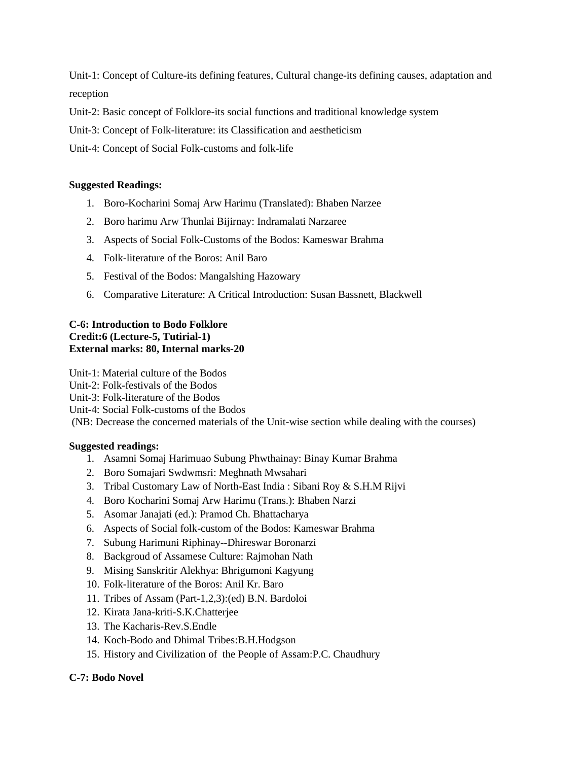Unit-1: Concept of Culture-its defining features, Cultural change-its defining causes, adaptation and reception

Unit-2: Basic concept of Folklore-its social functions and traditional knowledge system

Unit-3: Concept of Folk-literature: its Classification and aestheticism

Unit-4: Concept of Social Folk-customs and folk-life

## **Suggested Readings:**

- 1. Boro-Kocharini Somaj Arw Harimu (Translated): Bhaben Narzee
- 2. Boro harimu Arw Thunlai Bijirnay: Indramalati Narzaree
- 3. Aspects of Social Folk-Customs of the Bodos: Kameswar Brahma
- 4. Folk-literature of the Boros: Anil Baro
- 5. Festival of the Bodos: Mangalshing Hazowary
- 6. Comparative Literature: A Critical Introduction: Susan Bassnett, Blackwell

## **C-6: Introduction to Bodo Folklore Credit:6 (Lecture-5, Tutirial-1) External marks: 80, Internal marks-20**

Unit-1: Material culture of the Bodos Unit-2: Folk-festivals of the Bodos Unit-3: Folk-literature of the Bodos Unit-4: Social Folk-customs of the Bodos (NB: Decrease the concerned materials of the Unit-wise section while dealing with the courses)

### **Suggested readings:**

- 1. Asamni Somaj Harimuao Subung Phwthainay: Binay Kumar Brahma
- 2. Boro Somajari Swdwmsri: Meghnath Mwsahari
- 3. Tribal Customary Law of North-East India : Sibani Roy & S.H.M Rijvi
- 4. Boro Kocharini Somaj Arw Harimu (Trans.): Bhaben Narzi
- 5. Asomar Janajati (ed.): Pramod Ch. Bhattacharya
- 6. Aspects of Social folk-custom of the Bodos: Kameswar Brahma
- 7. Subung Harimuni Riphinay--Dhireswar Boronarzi
- 8. Backgroud of Assamese Culture: Rajmohan Nath
- 9. Mising Sanskritir Alekhya: Bhrigumoni Kagyung
- 10. Folk-literature of the Boros: Anil Kr. Baro
- 11. Tribes of Assam (Part-1,2,3):(ed) B.N. Bardoloi
- 12. Kirata Jana-kriti-S.K.Chatterjee
- 13. The Kacharis-Rev.S.Endle
- 14. Koch-Bodo and Dhimal Tribes:B.H.Hodgson
- 15. History and Civilization of the People of Assam:P.C. Chaudhury

### **C-7: Bodo Novel**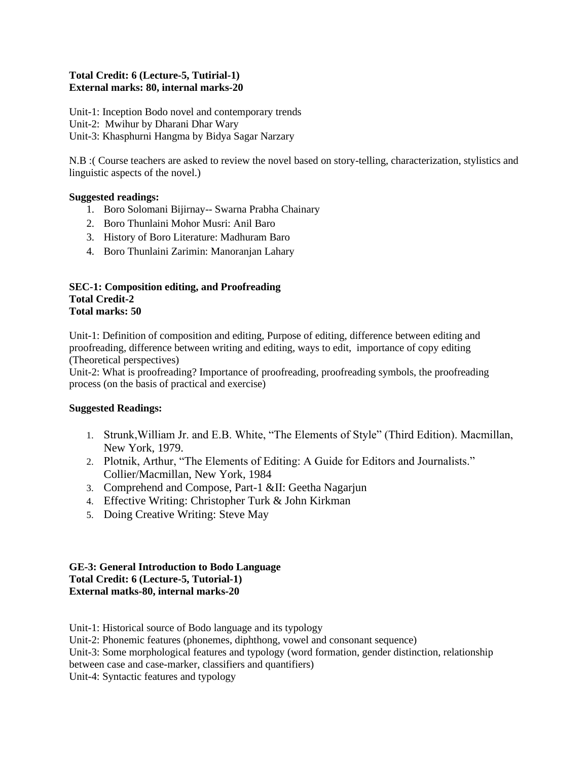## **Total Credit: 6 (Lecture-5, Tutirial-1) External marks: 80, internal marks-20**

Unit-1: Inception Bodo novel and contemporary trends Unit-2: Mwihur by Dharani Dhar Wary Unit-3: Khasphurni Hangma by Bidya Sagar Narzary

N.B :( Course teachers are asked to review the novel based on story-telling, characterization, stylistics and linguistic aspects of the novel.)

# **Suggested readings:**

- 1. Boro Solomani Bijirnay-- Swarna Prabha Chainary
- 2. Boro Thunlaini Mohor Musri: Anil Baro
- 3. History of Boro Literature: Madhuram Baro
- 4. Boro Thunlaini Zarimin: Manoranjan Lahary

### **SEC-1: Composition editing, and Proofreading Total Credit-2 Total marks: 50**

Unit-1: Definition of composition and editing, Purpose of editing, difference between editing and proofreading, difference between writing and editing, ways to edit, importance of copy editing (Theoretical perspectives)

Unit-2: What is proofreading? Importance of proofreading, proofreading symbols, the proofreading process (on the basis of practical and exercise)

### **Suggested Readings:**

- 1. Strunk,William Jr. and E.B. White, "The Elements of Style" (Third Edition). Macmillan, New York, 1979.
- 2. Plotnik, Arthur, "The Elements of Editing: A Guide for Editors and Journalists." Collier/Macmillan, New York, 1984
- 3. Comprehend and Compose, Part-1 &II: Geetha Nagarjun
- 4. Effective Writing: Christopher Turk & John Kirkman
- 5. Doing Creative Writing: Steve May

#### **GE-3: General Introduction to Bodo Language Total Credit: 6 (Lecture-5, Tutorial-1) External matks-80, internal marks-20**

Unit-1: Historical source of Bodo language and its typology

Unit-2: Phonemic features (phonemes, diphthong, vowel and consonant sequence)

Unit-3: Some morphological features and typology (word formation, gender distinction, relationship

between case and case-marker, classifiers and quantifiers)

Unit-4: Syntactic features and typology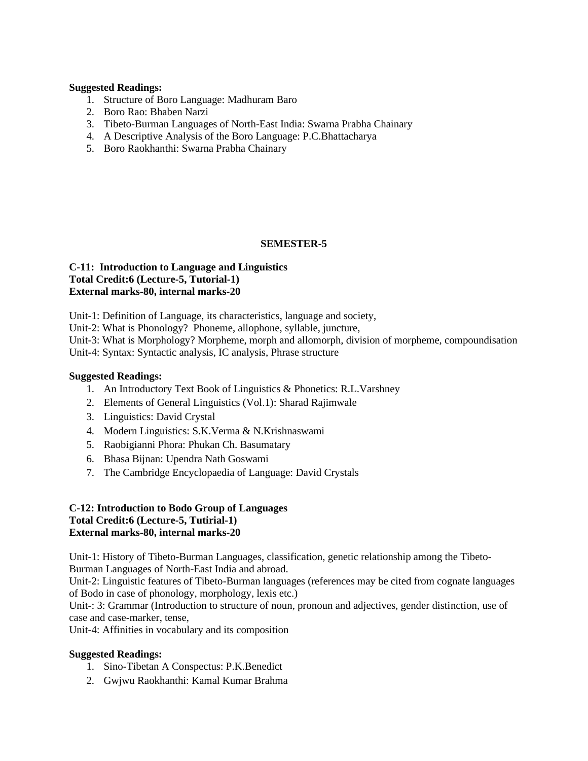#### **Suggested Readings:**

- 1. Structure of Boro Language: Madhuram Baro
- 2. Boro Rao: Bhaben Narzi
- 3. Tibeto-Burman Languages of North-East India: Swarna Prabha Chainary
- 4. A Descriptive Analysis of the Boro Language: P.C.Bhattacharya
- 5. Boro Raokhanthi: Swarna Prabha Chainary

### **SEMESTER-5**

#### **C-11: Introduction to Language and Linguistics Total Credit:6 (Lecture-5, Tutorial-1) External marks-80, internal marks-20**

Unit-1: Definition of Language, its characteristics, language and society,

Unit-2: What is Phonology? Phoneme, allophone, syllable, juncture,

Unit-3: What is Morphology? Morpheme, morph and allomorph, division of morpheme, compoundisation Unit-4: Syntax: Syntactic analysis, IC analysis, Phrase structure

## **Suggested Readings:**

- 1. An Introductory Text Book of Linguistics & Phonetics: R.L.Varshney
- 2. Elements of General Linguistics (Vol.1): Sharad Rajimwale
- 3. Linguistics: David Crystal
- 4. Modern Linguistics: S.K.Verma & N.Krishnaswami
- 5. Raobigianni Phora: Phukan Ch. Basumatary
- 6. Bhasa Bijnan: Upendra Nath Goswami
- 7. The Cambridge Encyclopaedia of Language: David Crystals

## **C-12: Introduction to Bodo Group of Languages Total Credit:6 (Lecture-5, Tutirial-1) External marks-80, internal marks-20**

Unit-1: History of Tibeto-Burman Languages, classification, genetic relationship among the Tibeto-Burman Languages of North-East India and abroad.

Unit-2: Linguistic features of Tibeto-Burman languages (references may be cited from cognate languages of Bodo in case of phonology, morphology, lexis etc.)

Unit-: 3: Grammar (Introduction to structure of noun, pronoun and adjectives, gender distinction, use of case and case-marker, tense,

Unit-4: Affinities in vocabulary and its composition

### **Suggested Readings:**

- 1. Sino-Tibetan A Conspectus: P.K.Benedict
- 2. Gwjwu Raokhanthi: Kamal Kumar Brahma